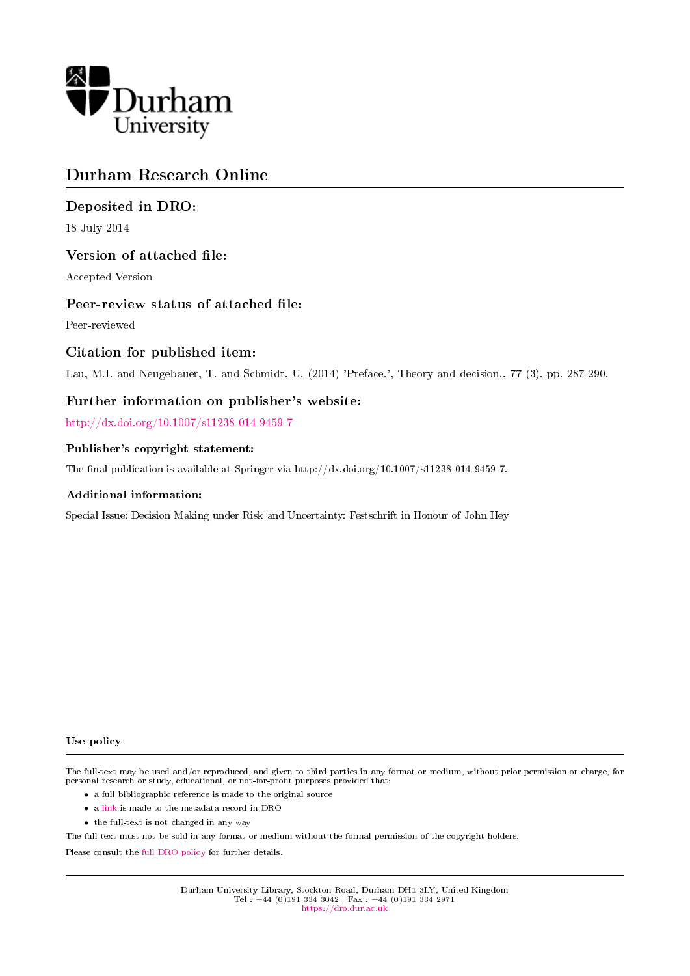

## Durham Research Online

## Deposited in DRO:

18 July 2014

## Version of attached file:

Accepted Version

## Peer-review status of attached file:

Peer-reviewed

## Citation for published item:

Lau, M.I. and Neugebauer, T. and Schmidt, U. (2014) 'Preface.', Theory and decision., 77 (3). pp. 287-290.

## Further information on publisher's website:

<http://dx.doi.org/10.1007/s11238-014-9459-7>

#### Publisher's copyright statement:

The final publication is available at Springer via http://dx.doi.org/10.1007/s11238-014-9459-7.

#### Additional information:

Special Issue: Decision Making under Risk and Uncertainty: Festschrift in Honour of John Hey

#### Use policy

The full-text may be used and/or reproduced, and given to third parties in any format or medium, without prior permission or charge, for personal research or study, educational, or not-for-profit purposes provided that:

- a full bibliographic reference is made to the original source
- a [link](http://dro.dur.ac.uk/13087/) is made to the metadata record in DRO
- the full-text is not changed in any way

The full-text must not be sold in any format or medium without the formal permission of the copyright holders.

Please consult the [full DRO policy](https://dro.dur.ac.uk/policies/usepolicy.pdf) for further details.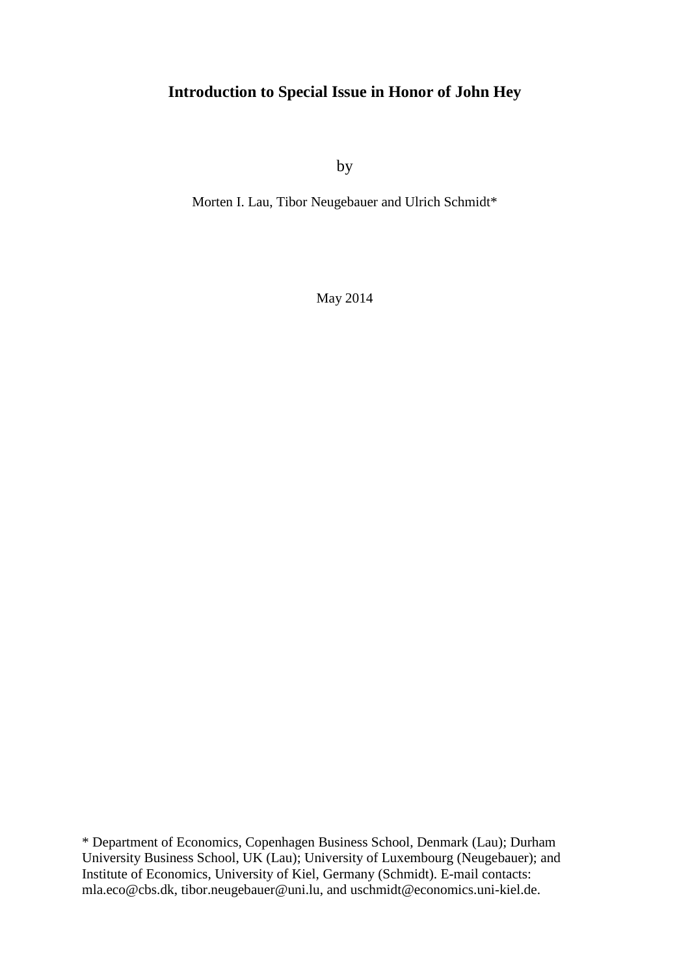# **Introduction to Special Issue in Honor of John Hey**

by

Morten I. Lau, Tibor Neugebauer and Ulrich Schmidt\*

May 2014

\* Department of Economics, Copenhagen Business School, Denmark (Lau); Durham University Business School, UK (Lau); University of Luxembourg (Neugebauer); and Institute of Economics, University of Kiel, Germany (Schmidt). E-mail contacts: [mla.eco@cbs.dk,](mailto:mla.eco@cbs.dk) tibor.neugebauer@uni.lu, and [uschmidt@economics.uni-kiel.de.](mailto:uschmidt@economics.uni-kiel.de)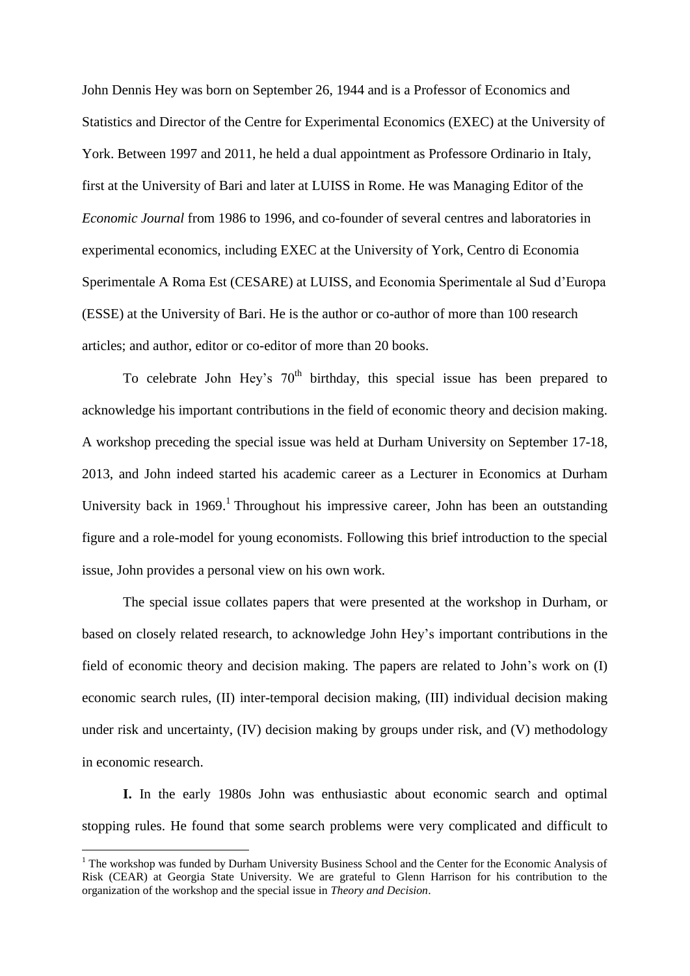John Dennis Hey was born on September 26, 1944 and is a Professor of Economics and Statistics and Director of the Centre for Experimental Economics (EXEC) at the University of York. Between 1997 and 2011, he held a dual appointment as Professore Ordinario in Italy, first at the University of Bari and later at LUISS in Rome. He was Managing Editor of the *Economic Journal* from 1986 to 1996, and co-founder of several centres and laboratories in experimental economics, including EXEC at the University of York, Centro di Economia Sperimentale A Roma Est (CESARE) at LUISS, and Economia Sperimentale al Sud d'Europa (ESSE) at the University of Bari. He is the author or co-author of more than 100 research articles; and author, editor or co-editor of more than 20 books.

To celebrate John Hey's  $70<sup>th</sup>$  birthday, this special issue has been prepared to acknowledge his important contributions in the field of economic theory and decision making. A workshop preceding the special issue was held at Durham University on September 17-18, 2013, and John indeed started his academic career as a Lecturer in Economics at Durham University back in 1969.<sup>1</sup> Throughout his impressive career, John has been an outstanding figure and a role-model for young economists. Following this brief introduction to the special issue, John provides a personal view on his own work.

The special issue collates papers that were presented at the workshop in Durham, or based on closely related research, to acknowledge John Hey's important contributions in the field of economic theory and decision making. The papers are related to John's work on (I) economic search rules, (II) inter-temporal decision making, (III) individual decision making under risk and uncertainty, (IV) decision making by groups under risk, and (V) methodology in economic research.

**I.** In the early 1980s John was enthusiastic about economic search and optimal stopping rules. He found that some search problems were very complicated and difficult to

1

 $1$  The workshop was funded by Durham University Business School and the Center for the Economic Analysis of Risk (CEAR) at Georgia State University. We are grateful to Glenn Harrison for his contribution to the organization of the workshop and the special issue in *Theory and Decision*.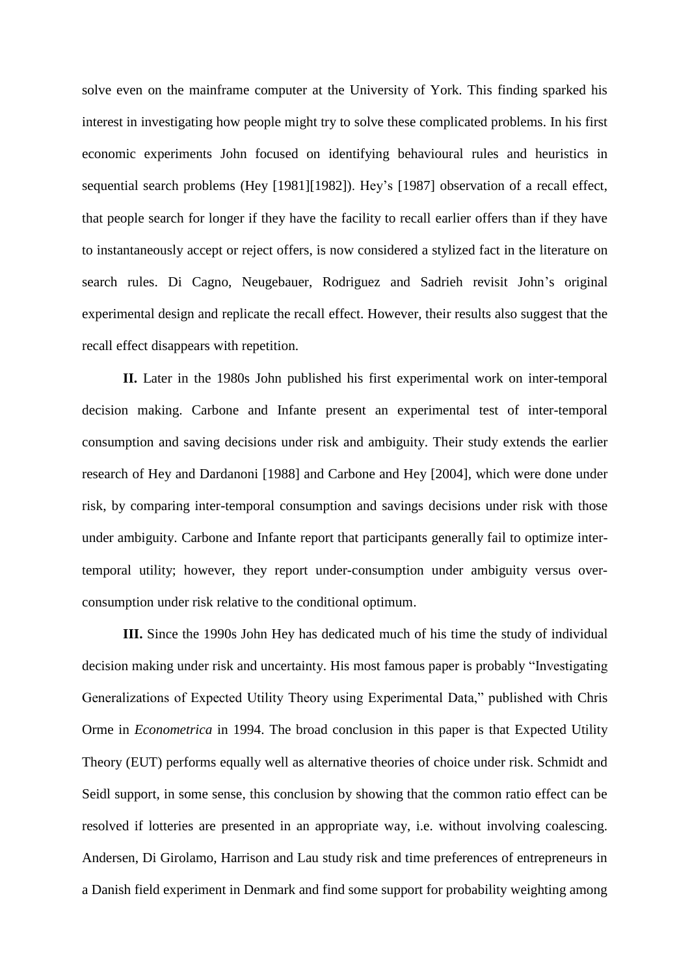solve even on the mainframe computer at the University of York. This finding sparked his interest in investigating how people might try to solve these complicated problems. In his first economic experiments John focused on identifying behavioural rules and heuristics in sequential search problems (Hey [1981][1982]). Hey's [1987] observation of a recall effect, that people search for longer if they have the facility to recall earlier offers than if they have to instantaneously accept or reject offers, is now considered a stylized fact in the literature on search rules. Di Cagno, Neugebauer, Rodriguez and Sadrieh revisit John's original experimental design and replicate the recall effect. However, their results also suggest that the recall effect disappears with repetition.

**II.** Later in the 1980s John published his first experimental work on inter-temporal decision making. Carbone and Infante present an experimental test of inter-temporal consumption and saving decisions under risk and ambiguity. Their study extends the earlier research of Hey and Dardanoni [1988] and Carbone and Hey [2004], which were done under risk, by comparing inter-temporal consumption and savings decisions under risk with those under ambiguity. Carbone and Infante report that participants generally fail to optimize intertemporal utility; however, they report under-consumption under ambiguity versus overconsumption under risk relative to the conditional optimum.

**III.** Since the 1990s John Hey has dedicated much of his time the study of individual decision making under risk and uncertainty. His most famous paper is probably "Investigating Generalizations of Expected Utility Theory using Experimental Data," published with Chris Orme in *Econometrica* in 1994. The broad conclusion in this paper is that Expected Utility Theory (EUT) performs equally well as alternative theories of choice under risk. Schmidt and Seidl support, in some sense, this conclusion by showing that the common ratio effect can be resolved if lotteries are presented in an appropriate way, i.e. without involving coalescing. Andersen, Di Girolamo, Harrison and Lau study risk and time preferences of entrepreneurs in a Danish field experiment in Denmark and find some support for probability weighting among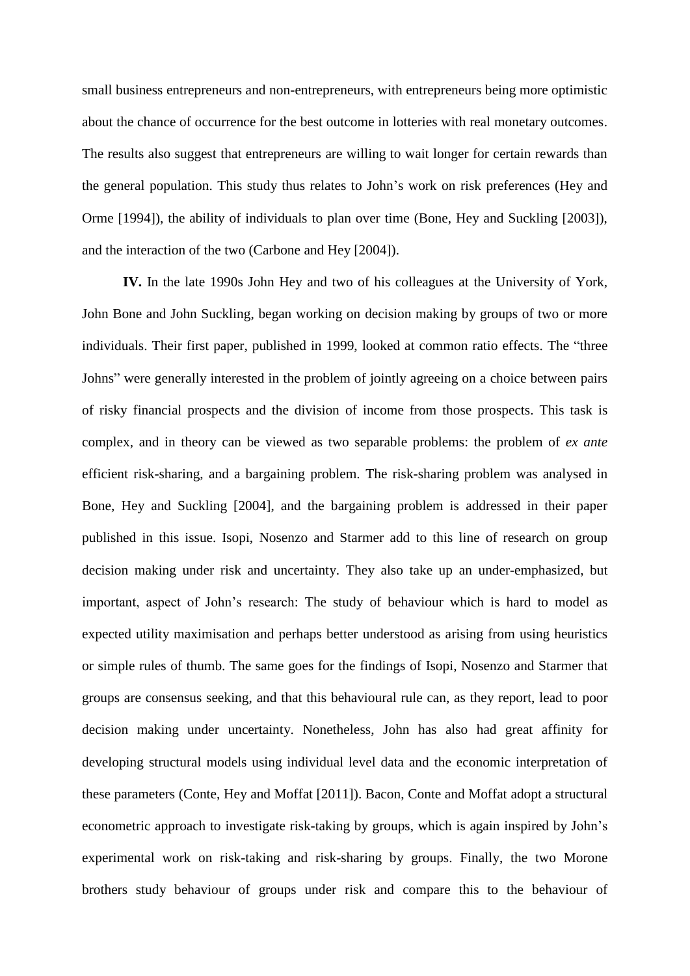small business entrepreneurs and non-entrepreneurs, with entrepreneurs being more optimistic about the chance of occurrence for the best outcome in lotteries with real monetary outcomes. The results also suggest that entrepreneurs are willing to wait longer for certain rewards than the general population. This study thus relates to John's work on risk preferences (Hey and Orme [1994]), the ability of individuals to plan over time (Bone, Hey and Suckling [2003]), and the interaction of the two (Carbone and Hey [2004]).

**IV.** In the late 1990s John Hey and two of his colleagues at the University of York, John Bone and John Suckling, began working on decision making by groups of two or more individuals. Their first paper, published in 1999, looked at common ratio effects. The "three Johns" were generally interested in the problem of jointly agreeing on a choice between pairs of risky financial prospects and the division of income from those prospects. This task is complex, and in theory can be viewed as two separable problems: the problem of *ex ante* efficient risk-sharing, and a bargaining problem. The risk-sharing problem was analysed in Bone, Hey and Suckling [2004], and the bargaining problem is addressed in their paper published in this issue. Isopi, Nosenzo and Starmer add to this line of research on group decision making under risk and uncertainty. They also take up an under-emphasized, but important, aspect of John's research: The study of behaviour which is hard to model as expected utility maximisation and perhaps better understood as arising from using heuristics or simple rules of thumb. The same goes for the findings of Isopi, Nosenzo and Starmer that groups are consensus seeking, and that this behavioural rule can, as they report, lead to poor decision making under uncertainty. Nonetheless, John has also had great affinity for developing structural models using individual level data and the economic interpretation of these parameters (Conte, Hey and Moffat [2011]). Bacon, Conte and Moffat adopt a structural econometric approach to investigate risk-taking by groups, which is again inspired by John's experimental work on risk-taking and risk-sharing by groups. Finally, the two Morone brothers study behaviour of groups under risk and compare this to the behaviour of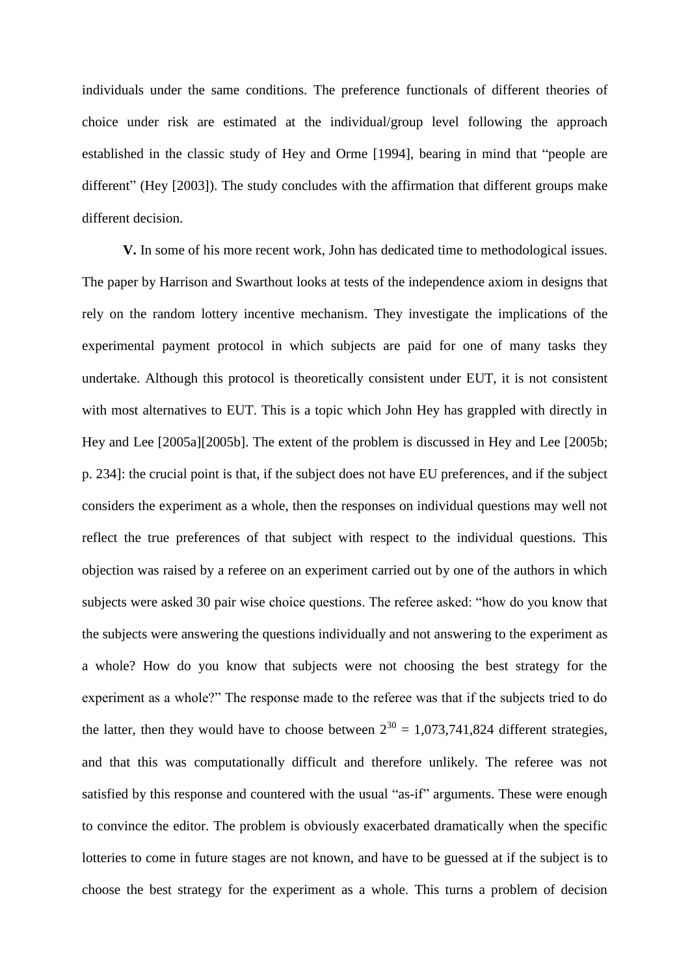individuals under the same conditions. The preference functionals of different theories of choice under risk are estimated at the individual/group level following the approach established in the classic study of Hey and Orme [1994], bearing in mind that "people are different" (Hey [2003]). The study concludes with the affirmation that different groups make different decision.

**V.** In some of his more recent work, John has dedicated time to methodological issues. The paper by Harrison and Swarthout looks at tests of the independence axiom in designs that rely on the random lottery incentive mechanism. They investigate the implications of the experimental payment protocol in which subjects are paid for one of many tasks they undertake. Although this protocol is theoretically consistent under EUT, it is not consistent with most alternatives to EUT. This is a topic which John Hey has grappled with directly in Hey and Lee [2005a][2005b]. The extent of the problem is discussed in Hey and Lee [2005b; p. 234]: the crucial point is that, if the subject does not have EU preferences, and if the subject considers the experiment as a whole, then the responses on individual questions may well not reflect the true preferences of that subject with respect to the individual questions. This objection was raised by a referee on an experiment carried out by one of the authors in which subjects were asked 30 pair wise choice questions. The referee asked: "how do you know that the subjects were answering the questions individually and not answering to the experiment as a whole? How do you know that subjects were not choosing the best strategy for the experiment as a whole?" The response made to the referee was that if the subjects tried to do the latter, then they would have to choose between  $2^{30} = 1.073,741,824$  different strategies, and that this was computationally difficult and therefore unlikely. The referee was not satisfied by this response and countered with the usual "as-if" arguments. These were enough to convince the editor. The problem is obviously exacerbated dramatically when the specific lotteries to come in future stages are not known, and have to be guessed at if the subject is to choose the best strategy for the experiment as a whole. This turns a problem of decision